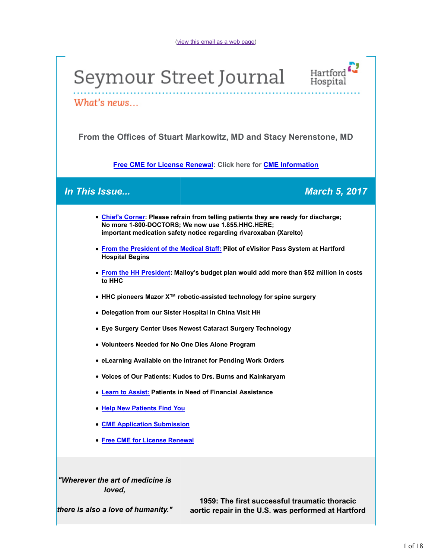(view this email as a web page)

# Seymour Street Journal



What's news...

**From the Offices of Stuart Markowitz, MD and Stacy Nerenstone, MD**

**Free CME for License Renewal: Click here for CME Information**

*In This Issue... March 5, 2017*

| • Chief's Corner: Please refrain from telling patients they are ready for discharge;<br>No more 1-800-DOCTORS; We now use 1.855.HHC.HERE;<br>important medication safety notice regarding rivaroxaban (Xarelto) |
|-----------------------------------------------------------------------------------------------------------------------------------------------------------------------------------------------------------------|
| . From the President of the Medical Staff: Pilot of eVisitor Pass System at Hartford<br><b>Hospital Begins</b>                                                                                                  |
| • From the HH President: Malloy's budget plan would add more than \$52 million in costs<br>to HHC                                                                                                               |
| • HHC pioneers Mazor X <sup>™</sup> robotic-assisted technology for spine surgery                                                                                                                               |
| • Delegation from our Sister Hospital in China Visit HH                                                                                                                                                         |
| • Eye Surgery Center Uses Newest Cataract Surgery Technology                                                                                                                                                    |
| • Volunteers Needed for No One Dies Alone Program                                                                                                                                                               |
| • eLearning Available on the intranet for Pending Work Orders                                                                                                                                                   |
| • Voices of Our Patients: Kudos to Drs. Burns and Kainkaryam                                                                                                                                                    |
| • Learn to Assist: Patients in Need of Financial Assistance                                                                                                                                                     |
| • Help New Patients Find You                                                                                                                                                                                    |
| <b>• CME Application Submission</b>                                                                                                                                                                             |
| • Free CME for License Renewal                                                                                                                                                                                  |
| "Wherever the art of medicine is<br>loved,                                                                                                                                                                      |
| 1959: The firet euccessful traumatic thoracic                                                                                                                                                                   |

*there is also a love of humanity."*

**1959: The first successful traumatic thoracic aortic repair in the U.S. was performed at Hartford**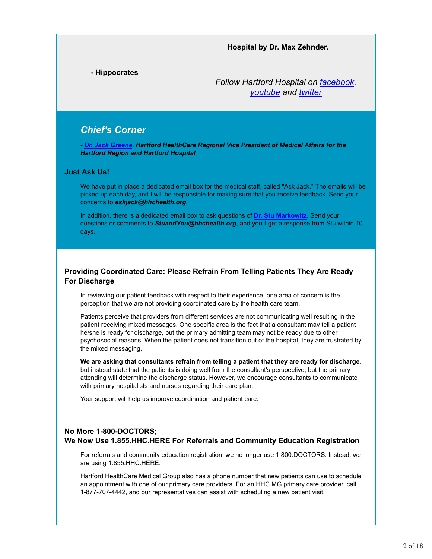#### **Hospital by Dr. Max Zehnder.**

**- Hippocrates**

*Follow Hartford Hospital on facebook, youtube and twitter*

## *Chief's Corner*

*- Dr. Jack Greene, Hartford HealthCare Regional Vice President of Medical Affairs for the Hartford Region and Hartford Hospital*

#### **Just Ask Us!**

We have put in place a dedicated email box for the medical staff, called "Ask Jack." The emails will be picked up each day, and I will be responsible for making sure that you receive feedback. Send your concerns to *askjack@hhchealth.org*.

In addition, there is a dedicated email box to ask questions of **Dr. Stu Markowitz**. Send your questions or comments to *StuandYou@hhchealth.org*, and you'll get a response from Stu within 10 days.

#### **Providing Coordinated Care: Please Refrain From Telling Patients They Are Ready For Discharge**

In reviewing our patient feedback with respect to their experience, one area of concern is the perception that we are not providing coordinated care by the health care team.

Patients perceive that providers from different services are not communicating well resulting in the patient receiving mixed messages. One specific area is the fact that a consultant may tell a patient he/she is ready for discharge, but the primary admitting team may not be ready due to other psychosocial reasons. When the patient does not transition out of the hospital, they are frustrated by the mixed messaging.

**We are asking that consultants refrain from telling a patient that they are ready for discharge**, but instead state that the patients is doing well from the consultant's perspective, but the primary attending will determine the discharge status. However, we encourage consultants to communicate with primary hospitalists and nurses regarding their care plan.

Your support will help us improve coordination and patient care.

#### **No More 1-800-DOCTORS;**

#### **We Now Use 1.855.HHC.HERE For Referrals and Community Education Registration**

For referrals and community education registration, we no longer use 1.800.DOCTORS. Instead, we are using 1.855.HHC.HERE.

Hartford HealthCare Medical Group also has a phone number that new patients can use to schedule an appointment with one of our primary care providers. For an HHC MG primary care provider, call 1-877-707-4442, and our representatives can assist with scheduling a new patient visit.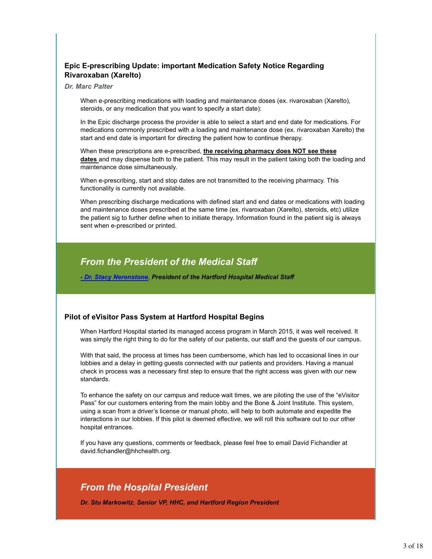### **Epic E-prescribing Update: important Medication Safety Notice Regarding Rivaroxaban (Xarelto)**

#### *Dr. Marc Palter*

When e-prescribing medications with loading and maintenance doses (ex. rivaroxaban (Xarelto), steroids, or any medication that you want to specify a start date):

In the Epic discharge process the provider is able to select a start and end date for medications. For medications commonly prescribed with a loading and maintenance dose (ex. rivaroxaban Xarelto) the start and end date is important for directing the patient how to continue therapy.

When these prescriptions are e-prescribed, **the receiving pharmacy does NOT see these dates** and may dispense both to the patient. This may result in the patient taking both the loading and maintenance dose simultaneously.

When e-prescribing, start and stop dates are not transmitted to the receiving pharmacy. This functionality is currently not available.

When prescribing discharge medications with defined start and end dates or medications with loading and maintenance doses prescribed at the same time (ex. rivaroxaban (Xarelto), steroids, etc) utilize the patient sig to further define when to initiate therapy. Information found in the patient sig is always sent when e-prescribed or printed.

## *From the President of the Medical Staff*

*- Dr. Stacy Nerenstone*, *President of the Hartford Hospital Medical Staff*

#### **Pilot of eVisitor Pass System at Hartford Hospital Begins**

When Hartford Hospital started its managed access program in March 2015, it was well received. It was simply the right thing to do for the safety of our patients, our staff and the guests of our campus.

With that said, the process at times has been cumbersome, which has led to occasional lines in our lobbies and a delay in getting guests connected with our patients and providers. Having a manual check in process was a necessary first step to ensure that the right access was given with our new standards.

To enhance the safety on our campus and reduce wait times, we are piloting the use of the "eVisitor Pass" for our customers entering from the main lobby and the Bone & Joint Institute. This system, using a scan from a driver's license or manual photo, will help to both automate and expedite the interactions in our lobbies. If this pilot is deemed effective, we will roll this software out to our other hospital entrances.

If you have any questions, comments or feedback, please feel free to email David Fichandler at david.fichandler@hhchealth.org.

## *From the Hospital President*

*Dr. Stu Markowitz*, *Senior VP, HHC, and Hartford Region President*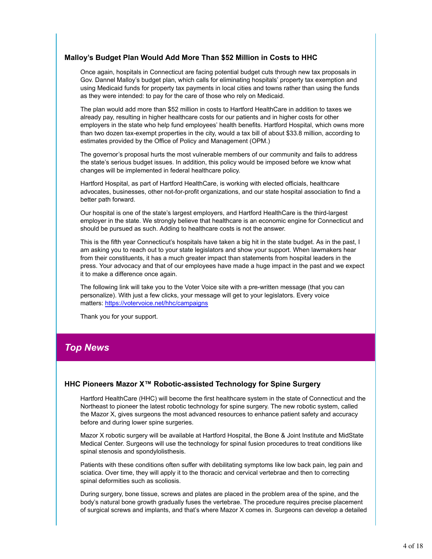#### **Malloy's Budget Plan Would Add More Than \$52 Million in Costs to HHC**

Once again, hospitals in Connecticut are facing potential budget cuts through new tax proposals in Gov. Dannel Malloy's budget plan, which calls for eliminating hospitals' property tax exemption and using Medicaid funds for property tax payments in local cities and towns rather than using the funds as they were intended: to pay for the care of those who rely on Medicaid.

The plan would add more than \$52 million in costs to Hartford HealthCare in addition to taxes we already pay, resulting in higher healthcare costs for our patients and in higher costs for other employers in the state who help fund employees' health benefits. Hartford Hospital, which owns more than two dozen tax-exempt properties in the city, would a tax bill of about \$33.8 million, according to estimates provided by the Office of Policy and Management (OPM.)

The governor's proposal hurts the most vulnerable members of our community and fails to address the state's serious budget issues. In addition, this policy would be imposed before we know what changes will be implemented in federal healthcare policy.

Hartford Hospital, as part of Hartford HealthCare, is working with elected officials, healthcare advocates, businesses, other not-for-profit organizations, and our state hospital association to find a better path forward.

Our hospital is one of the state's largest employers, and Hartford HealthCare is the third-largest employer in the state. We strongly believe that healthcare is an economic engine for Connecticut and should be pursued as such. Adding to healthcare costs is not the answer.

This is the fifth year Connecticut's hospitals have taken a big hit in the state budget. As in the past, I am asking you to reach out to your state legislators and show your support. When lawmakers hear from their constituents, it has a much greater impact than statements from hospital leaders in the press. Your advocacy and that of our employees have made a huge impact in the past and we expect it to make a difference once again.

The following link will take you to the Voter Voice site with a pre-written message (that you can personalize). With just a few clicks, your message will get to your legislators. Every voice matters: https://votervoice.net/hhc/campaigns

Thank you for your support.

## *Top News*

#### **HHC Pioneers Mazor X™ Robotic-assisted Technology for Spine Surgery**

Hartford HealthCare (HHC) will become the first healthcare system in the state of Connecticut and the Northeast to pioneer the latest robotic technology for spine surgery. The new robotic system, called the Mazor X, gives surgeons the most advanced resources to enhance patient safety and accuracy before and during lower spine surgeries.

Mazor X robotic surgery will be available at Hartford Hospital, the Bone & Joint Institute and MidState Medical Center. Surgeons will use the technology for spinal fusion procedures to treat conditions like spinal stenosis and spondylolisthesis.

Patients with these conditions often suffer with debilitating symptoms like low back pain, leg pain and sciatica. Over time, they will apply it to the thoracic and cervical vertebrae and then to correcting spinal deformities such as scoliosis.

During surgery, bone tissue, screws and plates are placed in the problem area of the spine, and the body's natural bone growth gradually fuses the vertebrae. The procedure requires precise placement of surgical screws and implants, and that's where Mazor X comes in. Surgeons can develop a detailed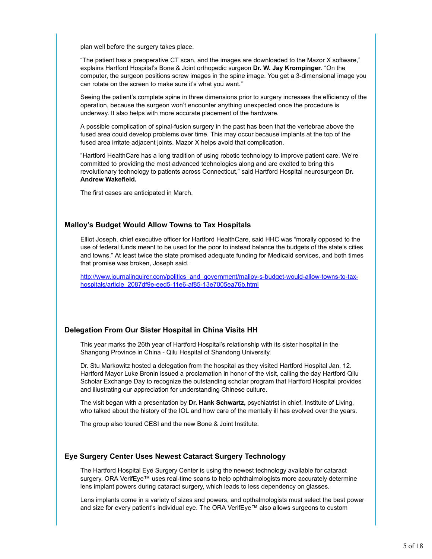plan well before the surgery takes place.

"The patient has a preoperative CT scan, and the images are downloaded to the Mazor X software," explains Hartford Hospital's Bone & Joint orthopedic surgeon **Dr. W. Jay Krompinger**. "On the computer, the surgeon positions screw images in the spine image. You get a 3-dimensional image you can rotate on the screen to make sure it's what you want."

Seeing the patient's complete spine in three dimensions prior to surgery increases the efficiency of the operation, because the surgeon won't encounter anything unexpected once the procedure is underway. It also helps with more accurate placement of the hardware.

A possible complication of spinal-fusion surgery in the past has been that the vertebrae above the fused area could develop problems over time. This may occur because implants at the top of the fused area irritate adjacent joints. Mazor X helps avoid that complication.

"Hartford HealthCare has a long tradition of using robotic technology to improve patient care. We're committed to providing the most advanced technologies along and are excited to bring this revolutionary technology to patients across Connecticut," said Hartford Hospital neurosurgeon **Dr. Andrew Wakefield.**

The first cases are anticipated in March.

#### **Malloy's Budget Would Allow Towns to Tax Hospitals**

Elliot Joseph, chief executive officer for Hartford HealthCare, said HHC was "morally opposed to the use of federal funds meant to be used for the poor to instead balance the budgets of the state's cities and towns." At least twice the state promised adequate funding for Medicaid services, and both times that promise was broken, Joseph said.

http://www.journalinquirer.com/politics\_and\_government/malloy-s-budget-would-allow-towns-to-taxhospitals/article\_2087df9e-eed5-11e6-af85-13e7005ea76b.html

#### **Delegation From Our Sister Hospital in China Visits HH**

This year marks the 26th year of Hartford Hospital's relationship with its sister hospital in the Shangong Province in China - Qilu Hospital of Shandong University.

Dr. Stu Markowitz hosted a delegation from the hospital as they visited Hartford Hospital Jan. 12. Hartford Mayor Luke Bronin issued a proclamation in honor of the visit, calling the day Hartford Qilu Scholar Exchange Day to recognize the outstanding scholar program that Hartford Hospital provides and illustrating our appreciation for understanding Chinese culture.

The visit began with a presentation by **Dr. Hank Schwartz,** psychiatrist in chief, Institute of Living, who talked about the history of the IOL and how care of the mentally ill has evolved over the years.

The group also toured CESI and the new Bone & Joint Institute.

#### **Eye Surgery Center Uses Newest Cataract Surgery Technology**

The Hartford Hospital Eye Surgery Center is using the newest technology available for cataract surgery. ORA VerifEye™ uses real-time scans to help ophthalmologists more accurately determine lens implant powers during cataract surgery, which leads to less dependency on glasses.

Lens implants come in a variety of sizes and powers, and opthalmologists must select the best power and size for every patient's individual eye. The ORA VerifEye™ also allows surgeons to custom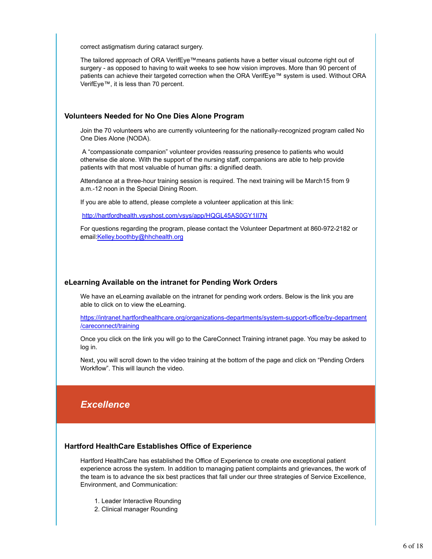correct astigmatism during cataract surgery.

The tailored approach of ORA VerifEye™means patients have a better visual outcome right out of surgery - as opposed to having to wait weeks to see how vision improves. More than 90 percent of patients can achieve their targeted correction when the ORA VerifEye™ system is used. Without ORA VerifEye™, it is less than 70 percent.

#### **Volunteers Needed for No One Dies Alone Program**

Join the 70 volunteers who are currently volunteering for the nationally-recognized program called No One Dies Alone (NODA).

 A "compassionate companion" volunteer provides reassuring presence to patients who would otherwise die alone. With the support of the nursing staff, companions are able to help provide patients with that most valuable of human gifts: a dignified death.

Attendance at a three-hour training session is required. The next training will be March15 from 9 a.m.-12 noon in the Special Dining Room.

If you are able to attend, please complete a volunteer application at this link:

http://hartfordhealth.vsyshost.com/vsys/app/HQGL45AS0GY1II7N

For questions regarding the program, please contact the Volunteer Department at 860-972-2182 or email:Kelley.boothby@hhchealth.org

#### **eLearning Available on the intranet for Pending Work Orders**

We have an eLearning available on the intranet for pending work orders. Below is the link you are able to click on to view the eLearning.

https://intranet.hartfordhealthcare.org/organizations-departments/system-support-office/by-department /careconnect/training

Once you click on the link you will go to the CareConnect Training intranet page. You may be asked to log in.

Next, you will scroll down to the video training at the bottom of the page and click on "Pending Orders Workflow". This will launch the video.

## *Excellence*

#### **Hartford HealthCare Establishes Office of Experience**

Hartford HealthCare has established the Office of Experience to create *one* exceptional patient experience across the system. In addition to managing patient complaints and grievances, the work of the team is to advance the six best practices that fall under our three strategies of Service Excellence, Environment, and Communication:

- 1. Leader Interactive Rounding
- 2. Clinical manager Rounding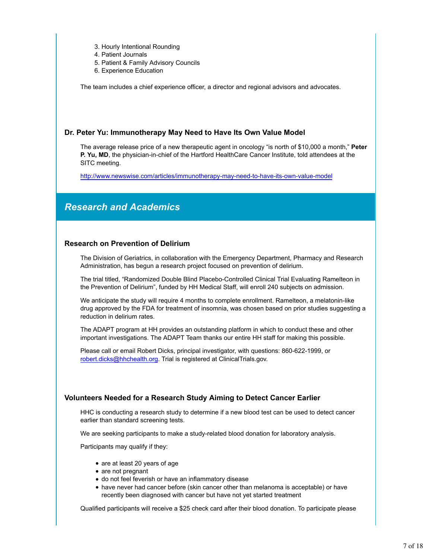- 3. Hourly Intentional Rounding
- 4. Patient Journals
- 5. Patient & Family Advisory Councils
- 6. Experience Education

The team includes a chief experience officer, a director and regional advisors and advocates.

#### **Dr. Peter Yu: Immunotherapy May Need to Have Its Own Value Model**

The average release price of a new therapeutic agent in oncology "is north of \$10,000 a month," **Peter P. Yu, MD**, the physician-in-chief of the Hartford HealthCare Cancer Institute, told attendees at the SITC meeting.

http://www.newswise.com/articles/immunotherapy-may-need-to-have-its-own-value-model

## *Research and Academics*

#### **Research on Prevention of Delirium**

The Division of Geriatrics, in collaboration with the Emergency Department, Pharmacy and Research Administration, has begun a research project focused on prevention of delirium.

The trial titled, "Randomized Double Blind Placebo-Controlled Clinical Trial Evaluating Ramelteon in the Prevention of Delirium", funded by HH Medical Staff, will enroll 240 subjects on admission.

We anticipate the study will require 4 months to complete enrollment. Ramelteon, a melatonin-like drug approved by the FDA for treatment of insomnia, was chosen based on prior studies suggesting a reduction in delirium rates.

The ADAPT program at HH provides an outstanding platform in which to conduct these and other important investigations. The ADAPT Team thanks our entire HH staff for making this possible.

Please call or email Robert Dicks, principal investigator, with questions: 860-622-1999, or robert.dicks@hhchealth.org. Trial is registered at ClinicalTrials.gov.

#### **Volunteers Needed for a Research Study Aiming to Detect Cancer Earlier**

HHC is conducting a research study to determine if a new blood test can be used to detect cancer earlier than standard screening tests.

We are seeking participants to make a study-related blood donation for laboratory analysis.

Participants may qualify if they:

- are at least 20 years of age
- are not pregnant
- do not feel feverish or have an inflammatory disease
- have never had cancer before (skin cancer other than melanoma is acceptable) or have recently been diagnosed with cancer but have not yet started treatment

Qualified participants will receive a \$25 check card after their blood donation. To participate please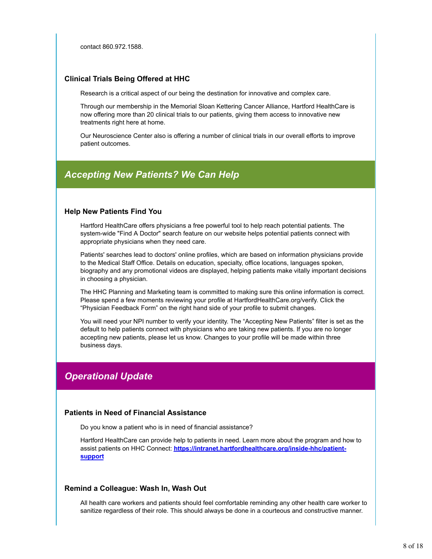contact 860.972.1588.

#### **Clinical Trials Being Offered at HHC**

Research is a critical aspect of our being the destination for innovative and complex care.

Through our membership in the Memorial Sloan Kettering Cancer Alliance, Hartford HealthCare is now offering more than 20 clinical trials to our patients, giving them access to innovative new treatments right here at home.

Our Neuroscience Center also is offering a number of clinical trials in our overall efforts to improve patient outcomes.

## *Accepting New Patients? We Can Help*

#### **Help New Patients Find You**

Hartford HealthCare offers physicians a free powerful tool to help reach potential patients. The system-wide "Find A Doctor" search feature on our website helps potential patients connect with appropriate physicians when they need care.

Patients' searches lead to doctors' online profiles, which are based on information physicians provide to the Medical Staff Office. Details on education, specialty, office locations, languages spoken, biography and any promotional videos are displayed, helping patients make vitally important decisions in choosing a physician.

The HHC Planning and Marketing team is committed to making sure this online information is correct. Please spend a few moments reviewing your profile at HartfordHealthCare.org/verify. Click the "Physician Feedback Form" on the right hand side of your profile to submit changes.

You will need your NPI number to verify your identity. The "Accepting New Patients" filter is set as the default to help patients connect with physicians who are taking new patients. If you are no longer accepting new patients, please let us know. Changes to your profile will be made within three business days.

## *Operational Update*

#### **Patients in Need of Financial Assistance**

Do you know a patient who is in need of financial assistance?

Hartford HealthCare can provide help to patients in need. Learn more about the program and how to assist patients on HHC Connect: **https://intranet.hartfordhealthcare.org/inside-hhc/patientsupport**

#### **Remind a Colleague: Wash In, Wash Out**

All health care workers and patients should feel comfortable reminding any other health care worker to sanitize regardless of their role. This should always be done in a courteous and constructive manner.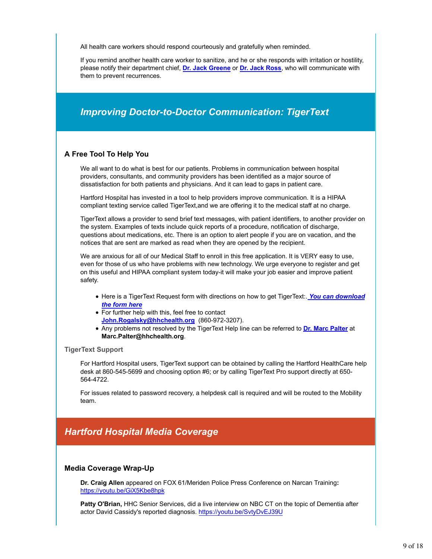All health care workers should respond courteously and gratefully when reminded.

If you remind another health care worker to sanitize, and he or she responds with irritation or hostility, please notify their department chief, **Dr. Jack Greene** or **Dr. Jack Ross**, who will communicate with them to prevent recurrences.

## *Improving Doctor-to-Doctor Communication: TigerText*

#### **A Free Tool To Help You**

We all want to do what is best for our patients. Problems in communication between hospital providers, consultants, and community providers has been identified as a major source of dissatisfaction for both patients and physicians. And it can lead to gaps in patient care.

Hartford Hospital has invested in a tool to help providers improve communication. It is a HIPAA compliant texting service called TigerText,and we are offering it to the medical staff at no charge.

TigerText allows a provider to send brief text messages, with patient identifiers, to another provider on the system. Examples of texts include quick reports of a procedure, notification of discharge, questions about medications, etc. There is an option to alert people if you are on vacation, and the notices that are sent are marked as read when they are opened by the recipient.

We are anxious for all of our Medical Staff to enroll in this free application. It is VERY easy to use, even for those of us who have problems with new technology. We urge everyone to register and get on this useful and HIPAA compliant system today-it will make your job easier and improve patient safety.

- Here is a TigerText Request form with directions on how to get TigerText:. *You can download the form here*
- For further help with this, feel free to contact **John.Rogalsky@hhchealth.org** (860-972-3207).
- Any problems not resolved by the TigerText Help line can be referred to **Dr. Marc Palter** at **Marc.Palter@hhchealth.org**.

#### **TigerText Support**

For Hartford Hospital users, TigerText support can be obtained by calling the Hartford HealthCare help desk at 860-545-5699 and choosing option #6; or by calling TigerText Pro support directly at 650- 564-4722.

For issues related to password recovery, a helpdesk call is required and will be routed to the Mobility team.

## *Hartford Hospital Media Coverage*

#### **Media Coverage Wrap-Up**

**Dr. Craig Allen** appeared on FOX 61/Meriden Police Press Conference on Narcan Training**:** https://youtu.be/GiX5Kbe8hpk

**Patty O'Brian,** HHC Senior Services, did a live interview on NBC CT on the topic of Dementia after actor David Cassidy's reported diagnosis. https://youtu.be/SvtyDvEJ39U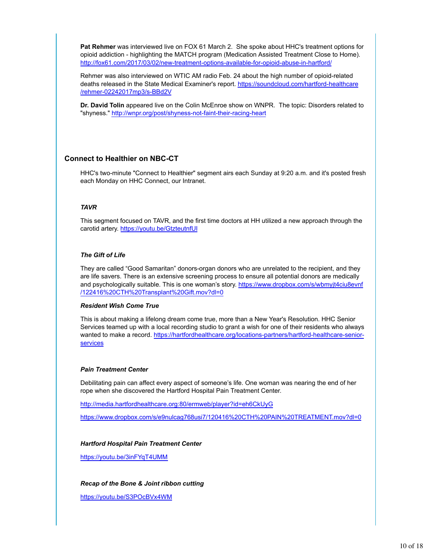**Pat Rehmer** was interviewed live on FOX 61 March 2. She spoke about HHC's treatment options for opioid addiction - highlighting the MATCH program (Medication Assisted Treatment Close to Home). http://fox61.com/2017/03/02/new-treatment-options-available-for-opioid-abuse-in-hartford/

Rehmer was also interviewed on WTIC AM radio Feb. 24 about the high number of opioid-related deaths released in the State Medical Examiner's report. https://soundcloud.com/hartford-healthcare /rehmer-02242017mp3/s-BBd2V

**Dr. David Tolin** appeared live on the Colin McEnroe show on WNPR. The topic: Disorders related to "shyness." http://wnpr.org/post/shyness-not-faint-their-racing-heart

#### **Connect to Healthier on NBC-CT**

HHC's two-minute "Connect to Healthier" segment airs each Sunday at 9:20 a.m. and it's posted fresh each Monday on HHC Connect, our Intranet.

#### *TAVR*

This segment focused on TAVR, and the first time doctors at HH utilized a new approach through the carotid artery. https://youtu.be/GtzteutnfUI

#### *The Gift of Life*

They are called "Good Samaritan" donors-organ donors who are unrelated to the recipient, and they are life savers. There is an extensive screening process to ensure all potential donors are medically and psychologically suitable. This is one woman's story. https://www.dropbox.com/s/wbmyjt4ciu8evnf /122416%20CTH%20Transplant%20Gift.mov?dl=0

#### *Resident Wish Come True*

This is about making a lifelong dream come true, more than a New Year's Resolution. HHC Senior Services teamed up with a local recording studio to grant a wish for one of their residents who always wanted to make a record. https://hartfordhealthcare.org/locations-partners/hartford-healthcare-seniorservices

#### *Pain Treatment Center*

Debilitating pain can affect every aspect of someone's life. One woman was nearing the end of her rope when she discovered the Hartford Hospital Pain Treatment Center.

http://media.hartfordhealthcare.org:80/ermweb/player?id=eh6CkUyG

https://www.dropbox.com/s/e9nulcag768usi7/120416%20CTH%20PAIN%20TREATMENT.mov?dl=0

#### *Hartford Hospital Pain Treatment Center*

https://youtu.be/3inFYqT4UMM

#### *Recap of the Bone & Joint ribbon cutting*

https://youtu.be/S3POcBVx4WM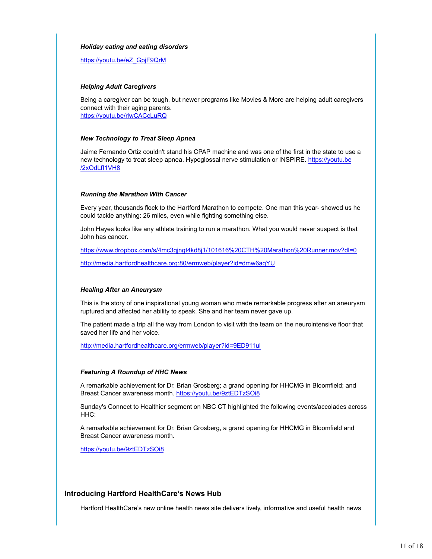#### *Holiday eating and eating disorders*

https://youtu.be/eZ\_GpjF9QrM

#### *Helping Adult Caregivers*

Being a caregiver can be tough, but newer programs like Movies & More are helping adult caregivers connect with their aging parents. https://youtu.be/rlwCACcLuRQ

#### *New Technology to Treat Sleep Apnea*

Jaime Fernando Ortiz couldn't stand his CPAP machine and was one of the first in the state to use a new technology to treat sleep apnea. Hypoglossal nerve stimulation or INSPIRE. https://youtu.be /2xOdLfI1VH8

#### *Running the Marathon With Cancer*

Every year, thousands flock to the Hartford Marathon to compete. One man this year- showed us he could tackle anything: 26 miles, even while fighting something else.

John Hayes looks like any athlete training to run a marathon. What you would never suspect is that John has cancer.

https://www.dropbox.com/s/4mc3qjngt4kd8j1/101616%20CTH%20Marathon%20Runner.mov?dl=0

http://media.hartfordhealthcare.org:80/ermweb/player?id=dmw6agYU

#### *Healing After an Aneurysm*

This is the story of one inspirational young woman who made remarkable progress after an aneurysm ruptured and affected her ability to speak. She and her team never gave up.

The patient made a trip all the way from London to visit with the team on the neurointensive floor that saved her life and her voice.

http://media.hartfordhealthcare.org/ermweb/player?id=9ED911ul

#### *Featuring A Roundup of HHC News*

A remarkable achievement for Dr. Brian Grosberg; a grand opening for HHCMG in Bloomfield; and Breast Cancer awareness month. https://youtu.be/9ztEDTzSOi8

Sunday's Connect to Healthier segment on NBC CT highlighted the following events/accolades across HHC:

A remarkable achievement for Dr. Brian Grosberg, a grand opening for HHCMG in Bloomfield and Breast Cancer awareness month.

https://youtu.be/9ztEDTzSOi8

#### **Introducing Hartford HealthCare's News Hub**

Hartford HealthCare's new online health news site delivers lively, informative and useful health news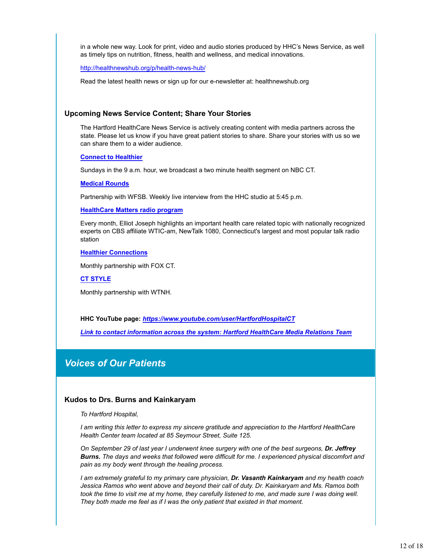in a whole new way. Look for print, video and audio stories produced by HHC's News Service, as well as timely tips on nutrition, fitness, health and wellness, and medical innovations.

http://healthnewshub.org/p/health-news-hub/

Read the latest health news or sign up for our e-newsletter at: healthnewshub.org

#### **Upcoming News Service Content; Share Your Stories**

The Hartford HealthCare News Service is actively creating content with media partners across the state. Please let us know if you have great patient stories to share. Share your stories with us so we can share them to a wider audience.

#### **Connect to Healthier**

Sundays in the 9 a.m. hour, we broadcast a two minute health segment on NBC CT.

#### **Medical Rounds**

Partnership with WFSB. Weekly live interview from the HHC studio at 5:45 p.m.

**HealthCare Matters radio program**

Every month, Elliot Joseph highlights an important health care related topic with nationally recognized experts on CBS affiliate WTIC-am, NewTalk 1080, Connecticut's largest and most popular talk radio station

#### **Healthier Connections**

Monthly partnership with FOX CT.

**CT STYLE**

Monthly partnership with WTNH.

**HHC YouTube page:** *https://www.youtube.com/user/HartfordHospitalCT*

*Link to contact information across the system: Hartford HealthCare Media Relations Team*

## *Voices of Our Patients*

#### **Kudos to Drs. Burns and Kainkaryam**

*To Hartford Hospital,*

*I am writing this letter to express my sincere gratitude and appreciation to the Hartford HealthCare Health Center team located at 85 Seymour Street, Suite 125.*

*On September 29 of last year I underwent knee surgery with one of the best surgeons, Dr. Jeffrey Burns. The days and weeks that followed were difficult for me. I experienced physical discomfort and pain as my body went through the healing process.*

*I am extremely grateful to my primary care physician, Dr. Vasanth Kainkaryam and my health coach Jessica Ramos who went above and beyond their call of duty. Dr. Kainkaryam and Ms. Ramos both took the time to visit me at my home, they carefully listened to me, and made sure I was doing well. They both made me feel as if I was the only patient that existed in that moment.*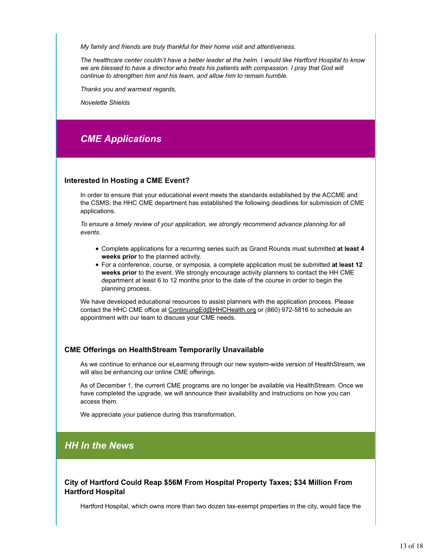*My family and friends are truly thankful for their home visit and attentiveness.*

*The healthcare center couldn't have a better leader at the helm. I would like Hartford Hospital to know we are blessed to have a director who treats his patients with compassion. I pray that God will continue to strengthen him and his team, and allow him to remain humble.*

*Thanks you and warmest regards,*

*Novelette Shields*

## *CME Applications*

#### **Interested In Hosting a CME Event?**

In order to ensure that your educational event meets the standards established by the ACCME and the CSMS, the HHC CME department has established the following deadlines for submission of CME applications.

*To ensure a timely review of your application, we strongly recommend advance planning for all events.* 

- Complete applications for a recurring series such as Grand Rounds must submitted **at least 4 weeks prior** to the planned activity.
- For a conference, course, or symposia, a complete application must be submitted **at least 12 weeks prior** to the event. We strongly encourage activity planners to contact the HH CME department at least 6 to 12 months prior to the date of the course in order to begin the planning process.

We have developed educational resources to assist planners with the application process. Please contact the HHC CME office at ContinuingEd@HHCHealth.org or (860) 972-5816 to schedule an appointment with our team to discuss your CME needs.

#### **CME Offerings on HealthStream Temporarily Unavailable**

As we continue to enhance our eLearming through our new system-wide version of HealthStream, we will also be enhancing our online CME offerings.

As of December 1, the current CME programs are no longer be available via HealthStream. Once we have completed the upgrade, we will announce their availability and instructions on how you can access them.

We appreciate your patience during this transformation.

## *HH In the News*

**City of Hartford Could Reap \$56M From Hospital Property Taxes; \$34 Million From Hartford Hospital**

Hartford Hospital, which owns more than two dozen tax-exempt properties in the city, would face the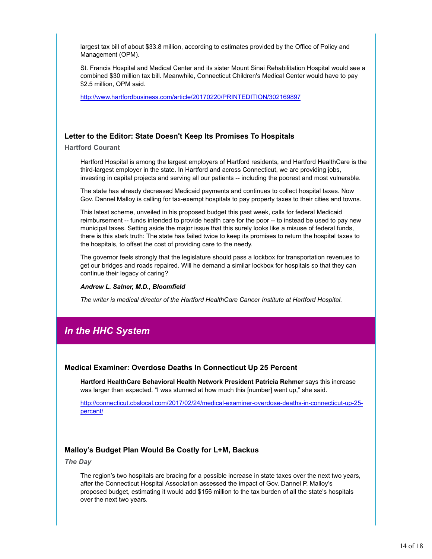largest tax bill of about \$33.8 million, according to estimates provided by the Office of Policy and Management (OPM).

St. Francis Hospital and Medical Center and its sister Mount Sinai Rehabilitation Hospital would see a combined \$30 million tax bill. Meanwhile, Connecticut Children's Medical Center would have to pay \$2.5 million, OPM said.

http://www.hartfordbusiness.com/article/20170220/PRINTEDITION/302169897

#### **Letter to the Editor: State Doesn't Keep Its Promises To Hospitals**

**Hartford Courant**

Hartford Hospital is among the largest employers of Hartford residents, and Hartford HealthCare is the third-largest employer in the state. In Hartford and across Connecticut, we are providing jobs, investing in capital projects and serving all our patients -- including the poorest and most vulnerable.

The state has already decreased Medicaid payments and continues to collect hospital taxes. Now Gov. Dannel Malloy is calling for tax-exempt hospitals to pay property taxes to their cities and towns.

This latest scheme, unveiled in his proposed budget this past week, calls for federal Medicaid reimbursement -- funds intended to provide health care for the poor -- to instead be used to pay new municipal taxes. Setting aside the major issue that this surely looks like a misuse of federal funds, there is this stark truth: The state has failed twice to keep its promises to return the hospital taxes to the hospitals, to offset the cost of providing care to the needy.

The governor feels strongly that the legislature should pass a lockbox for transportation revenues to get our bridges and roads repaired. Will he demand a similar lockbox for hospitals so that they can continue their legacy of caring?

#### *Andrew L. Salner, M.D., Bloomfield*

*The writer is medical director of the Hartford HealthCare Cancer Institute at Hartford Hospital.*

## *In the HHC System*

#### **Medical Examiner: Overdose Deaths In Connecticut Up 25 Percent**

**Hartford HealthCare Behavioral Health Network President Patricia Rehmer** says this increase was larger than expected. "I was stunned at how much this [number] went up," she said.

http://connecticut.cbslocal.com/2017/02/24/medical-examiner-overdose-deaths-in-connecticut-up-25 percent/

#### **Malloy's Budget Plan Would Be Costly for L+M, Backus**

*The Day*

The region's two hospitals are bracing for a possible increase in state taxes over the next two years, after the Connecticut Hospital Association assessed the impact of Gov. Dannel P. Malloy's proposed budget, estimating it would add \$156 million to the tax burden of all the state's hospitals over the next two years.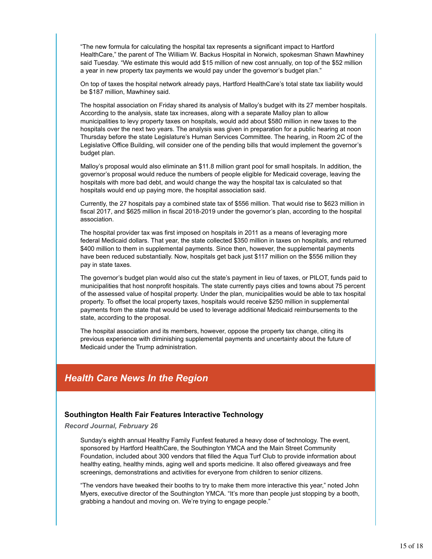"The new formula for calculating the hospital tax represents a significant impact to Hartford HealthCare," the parent of The William W. Backus Hospital in Norwich, spokesman Shawn Mawhiney said Tuesday. "We estimate this would add \$15 million of new cost annually, on top of the \$52 million a year in new property tax payments we would pay under the governor's budget plan."

On top of taxes the hospital network already pays, Hartford HealthCare's total state tax liability would be \$187 million, Mawhiney said.

The hospital association on Friday shared its analysis of Malloy's budget with its 27 member hospitals. According to the analysis, state tax increases, along with a separate Malloy plan to allow municipalities to levy property taxes on hospitals, would add about \$580 million in new taxes to the hospitals over the next two years. The analysis was given in preparation for a public hearing at noon Thursday before the state Legislature's Human Services Committee. The hearing, in Room 2C of the Legislative Office Building, will consider one of the pending bills that would implement the governor's budget plan.

Malloy's proposal would also eliminate an \$11.8 million grant pool for small hospitals. In addition, the governor's proposal would reduce the numbers of people eligible for Medicaid coverage, leaving the hospitals with more bad debt, and would change the way the hospital tax is calculated so that hospitals would end up paying more, the hospital association said.

Currently, the 27 hospitals pay a combined state tax of \$556 million. That would rise to \$623 million in fiscal 2017, and \$625 million in fiscal 2018-2019 under the governor's plan, according to the hospital association.

The hospital provider tax was first imposed on hospitals in 2011 as a means of leveraging more federal Medicaid dollars. That year, the state collected \$350 million in taxes on hospitals, and returned \$400 million to them in supplemental payments. Since then, however, the supplemental payments have been reduced substantially. Now, hospitals get back just \$117 million on the \$556 million they pay in state taxes.

The governor's budget plan would also cut the state's payment in lieu of taxes, or PILOT, funds paid to municipalities that host nonprofit hospitals. The state currently pays cities and towns about 75 percent of the assessed value of hospital property. Under the plan, municipalities would be able to tax hospital property. To offset the local property taxes, hospitals would receive \$250 million in supplemental payments from the state that would be used to leverage additional Medicaid reimbursements to the state, according to the proposal.

The hospital association and its members, however, oppose the property tax change, citing its previous experience with diminishing supplemental payments and uncertainty about the future of Medicaid under the Trump administration.

## *Health Care News In the Region*

#### **Southington Health Fair Features Interactive Technology**

*Record Journal, February 26*

Sunday's eighth annual Healthy Family Funfest featured a heavy dose of technology. The event, sponsored by Hartford HealthCare, the Southington YMCA and the Main Street Community Foundation, included about 300 vendors that filled the Aqua Turf Club to provide information about healthy eating, healthy minds, aging well and sports medicine. It also offered giveaways and free screenings, demonstrations and activities for everyone from children to senior citizens.

"The vendors have tweaked their booths to try to make them more interactive this year," noted John Myers, executive director of the Southington YMCA. "It's more than people just stopping by a booth, grabbing a handout and moving on. We're trying to engage people."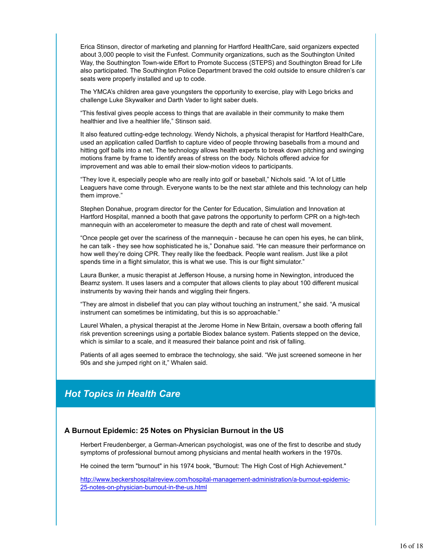Erica Stinson, director of marketing and planning for Hartford HealthCare, said organizers expected about 3,000 people to visit the Funfest. Community organizations, such as the Southington United Way, the Southington Town-wide Effort to Promote Success (STEPS) and Southington Bread for Life also participated. The Southington Police Department braved the cold outside to ensure children's car seats were properly installed and up to code.

The YMCA's children area gave youngsters the opportunity to exercise, play with Lego bricks and challenge Luke Skywalker and Darth Vader to light saber duels.

"This festival gives people access to things that are available in their community to make them healthier and live a healthier life," Stinson said.

It also featured cutting-edge technology. Wendy Nichols, a physical therapist for Hartford HealthCare, used an application called Dartfish to capture video of people throwing baseballs from a mound and hitting golf balls into a net. The technology allows health experts to break down pitching and swinging motions frame by frame to identify areas of stress on the body. Nichols offered advice for improvement and was able to email their slow-motion videos to participants.

"They love it, especially people who are really into golf or baseball," Nichols said. "A lot of Little Leaguers have come through. Everyone wants to be the next star athlete and this technology can help them improve."

Stephen Donahue, program director for the Center for Education, Simulation and Innovation at Hartford Hospital, manned a booth that gave patrons the opportunity to perform CPR on a high-tech mannequin with an accelerometer to measure the depth and rate of chest wall movement.

"Once people get over the scariness of the mannequin - because he can open his eyes, he can blink, he can talk - they see how sophisticated he is," Donahue said. "He can measure their performance on how well they're doing CPR. They really like the feedback. People want realism. Just like a pilot spends time in a flight simulator, this is what we use. This is our flight simulator."

Laura Bunker, a music therapist at Jefferson House, a nursing home in Newington, introduced the Beamz system. It uses lasers and a computer that allows clients to play about 100 different musical instruments by waving their hands and wiggling their fingers.

"They are almost in disbelief that you can play without touching an instrument," she said. "A musical instrument can sometimes be intimidating, but this is so approachable."

Laurel Whalen, a physical therapist at the Jerome Home in New Britain, oversaw a booth offering fall risk prevention screenings using a portable Biodex balance system. Patients stepped on the device, which is similar to a scale, and it measured their balance point and risk of falling.

Patients of all ages seemed to embrace the technology, she said. "We just screened someone in her 90s and she jumped right on it," Whalen said.

## *Hot Topics in Health Care*

#### **A Burnout Epidemic: 25 Notes on Physician Burnout in the US**

Herbert Freudenberger, a German-American psychologist, was one of the first to describe and study symptoms of professional burnout among physicians and mental health workers in the 1970s.

He coined the term "burnout" in his 1974 book, "Burnout: The High Cost of High Achievement."

http://www.beckershospitalreview.com/hospital-management-administration/a-burnout-epidemic-25-notes-on-physician-burnout-in-the-us.html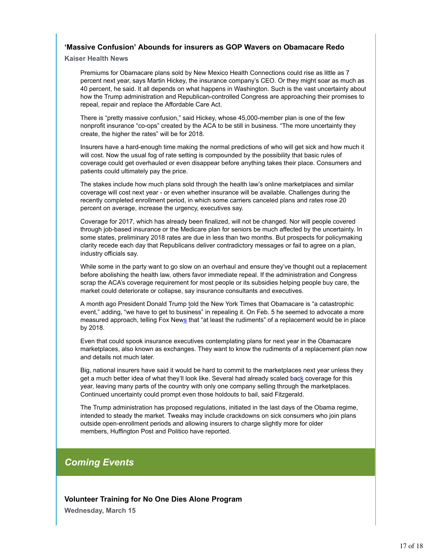#### **'Massive Confusion' Abounds for insurers as GOP Wavers on Obamacare Redo**

**Kaiser Health News**

Premiums for Obamacare plans sold by New Mexico Health Connections could rise as little as 7 percent next year, says Martin Hickey, the insurance company's CEO. Or they might soar as much as 40 percent, he said. It all depends on what happens in Washington. Such is the vast uncertainty about how the Trump administration and Republican-controlled Congress are approaching their promises to repeal, repair and replace the Affordable Care Act.

There is "pretty massive confusion," said Hickey, whose 45,000-member plan is one of the few nonprofit insurance "co-ops" created by the ACA to be still in business. "The more uncertainty they create, the higher the rates" will be for 2018.

Insurers have a hard-enough time making the normal predictions of who will get sick and how much it will cost. Now the usual fog of rate setting is compounded by the possibility that basic rules of coverage could get overhauled or even disappear before anything takes their place. Consumers and patients could ultimately pay the price.

The stakes include how much plans sold through the health law's online marketplaces and similar coverage will cost next year - or even whether insurance will be available. Challenges during the recently completed enrollment period, in which some carriers canceled plans and rates rose 20 percent on average, increase the urgency, executives say.

Coverage for 2017, which has already been finalized, will not be changed. Nor will people covered through job-based insurance or the Medicare plan for seniors be much affected by the uncertainty. In some states, preliminary 2018 rates are due in less than two months. But prospects for policymaking clarity recede each day that Republicans deliver contradictory messages or fail to agree on a plan, industry officials say.

While some in the party want to go slow on an overhaul and ensure they've thought out a replacement before abolishing the health law, others favor immediate repeal. If the administration and Congress scrap the ACA's coverage requirement for most people or its subsidies helping people buy care, the market could deteriorate or collapse, say insurance consultants and executives.

A month ago President Donald Trump told the New York Times that Obamacare is "a catastrophic event," adding, "we have to get to business" in repealing it. On Feb. 5 he seemed to advocate a more measured approach, telling Fox News that "at least the rudiments" of a replacement would be in place by 2018.

Even that could spook insurance executives contemplating plans for next year in the Obamacare marketplaces, also known as exchanges. They want to know the rudiments of a replacement plan now and details not much later.

Big, national insurers have said it would be hard to commit to the marketplaces next year unless they get a much better idea of what they'll look like. Several had already scaled back coverage for this year, leaving many parts of the country with only one company selling through the marketplaces. Continued uncertainty could prompt even those holdouts to bail, said Fitzgerald.

The Trump administration has proposed regulations, initiated in the last days of the Obama regime, intended to steady the market. Tweaks may include crackdowns on sick consumers who join plans outside open-enrollment periods and allowing insurers to charge slightly more for older members, Huffington Post and Politico have reported.

## *Coming Events*

**Volunteer Training for No One Dies Alone Program**

**Wednesday, March 15**